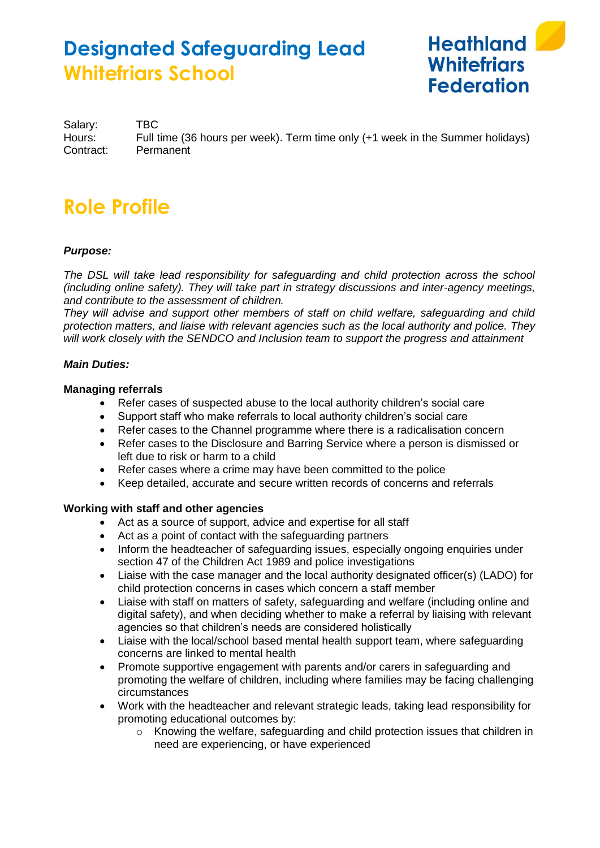

Salary: TBC Hours: Full time (36 hours per week). Term time only (+1 week in the Summer holidays) Contract: Permanent

# **Role Profile**

# *Purpose:*

*The DSL will take lead responsibility for safeguarding and child protection across the school (including online safety). They will take part in strategy discussions and inter-agency meetings, and contribute to the assessment of children.*

*They will advise and support other members of staff on child welfare, safeguarding and child protection matters, and liaise with relevant agencies such as the local authority and police. They will work closely with the SENDCO and Inclusion team to support the progress and attainment* 

### *Main Duties:*

### **Managing referrals**

- Refer cases of suspected abuse to the local authority children's social care
- Support staff who make referrals to local authority children's social care
- Refer cases to the Channel programme where there is a radicalisation concern
- Refer cases to the Disclosure and Barring Service where a person is dismissed or left due to risk or harm to a child
- Refer cases where a crime may have been committed to the police
- Keep detailed, accurate and secure written records of concerns and referrals

# **Working with staff and other agencies**

- Act as a source of support, advice and expertise for all staff
- Act as a point of contact with the safeguarding partners
- Inform the headteacher of safeguarding issues, especially ongoing enquiries under section 47 of the Children Act 1989 and police investigations
- Liaise with the case manager and the local authority designated officer(s) (LADO) for child protection concerns in cases which concern a staff member
- Liaise with staff on matters of safety, safeguarding and welfare (including online and digital safety), and when deciding whether to make a referral by liaising with relevant agencies so that children's needs are considered holistically
- Liaise with the local/school based mental health support team, where safeguarding concerns are linked to mental health
- Promote supportive engagement with parents and/or carers in safeguarding and promoting the welfare of children, including where families may be facing challenging circumstances
- Work with the headteacher and relevant strategic leads, taking lead responsibility for promoting educational outcomes by:
	- $\circ$  Knowing the welfare, safeguarding and child protection issues that children in need are experiencing, or have experienced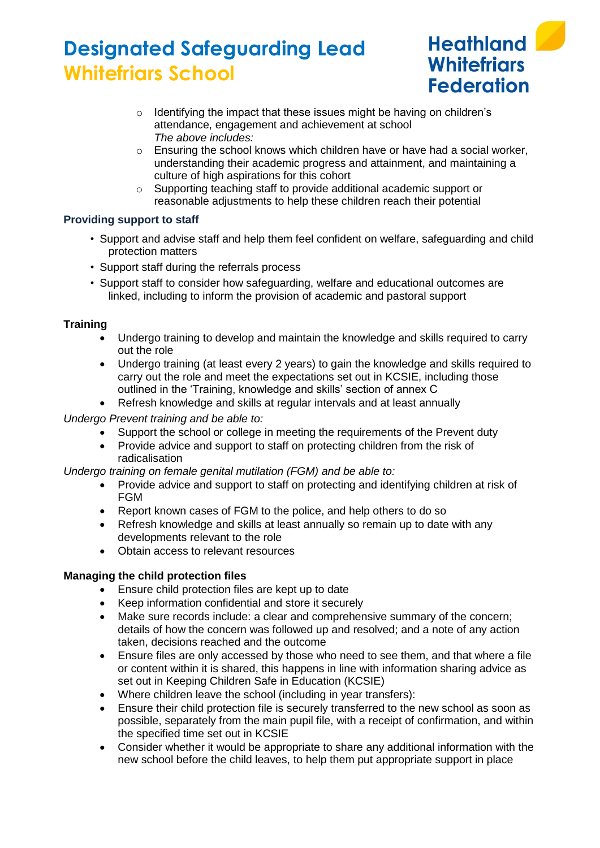

- o Identifying the impact that these issues might be having on children's attendance, engagement and achievement at school *The above includes:*
- $\circ$  Ensuring the school knows which children have or have had a social worker. understanding their academic progress and attainment, and maintaining a culture of high aspirations for this cohort
- o Supporting teaching staff to provide additional academic support or reasonable adjustments to help these children reach their potential

# **Providing support to staff**

- Support and advise staff and help them feel confident on welfare, safeguarding and child protection matters
- Support staff during the referrals process
- Support staff to consider how safeguarding, welfare and educational outcomes are linked, including to inform the provision of academic and pastoral support

### **Training**

- Undergo training to develop and maintain the knowledge and skills required to carry out the role
- Undergo training (at least every 2 years) to gain the knowledge and skills required to carry out the role and meet the expectations set out in KCSIE, including those outlined in the 'Training, knowledge and skills' section of annex C
- Refresh knowledge and skills at regular intervals and at least annually

*Undergo Prevent training and be able to:* 

- Support the school or college in meeting the requirements of the Prevent duty<br>• Provide advice and support to staff on protecting children from the risk of
- Provide advice and support to staff on protecting children from the risk of radicalisation

*Undergo training on female genital mutilation (FGM) and be able to:*

- Provide advice and support to staff on protecting and identifying children at risk of FGM
- Report known cases of FGM to the police, and help others to do so
- Refresh knowledge and skills at least annually so remain up to date with any developments relevant to the role
- Obtain access to relevant resources

# **Managing the child protection files**

- Ensure child protection files are kept up to date
- Keep information confidential and store it securely
- Make sure records include: a clear and comprehensive summary of the concern; details of how the concern was followed up and resolved; and a note of any action taken, decisions reached and the outcome
- Ensure files are only accessed by those who need to see them, and that where a file or content within it is shared, this happens in line with information sharing advice as set out in Keeping Children Safe in Education (KCSIE)
- Where children leave the school (including in year transfers):
- Ensure their child protection file is securely transferred to the new school as soon as possible, separately from the main pupil file, with a receipt of confirmation, and within the specified time set out in KCSIE
- Consider whether it would be appropriate to share any additional information with the new school before the child leaves, to help them put appropriate support in place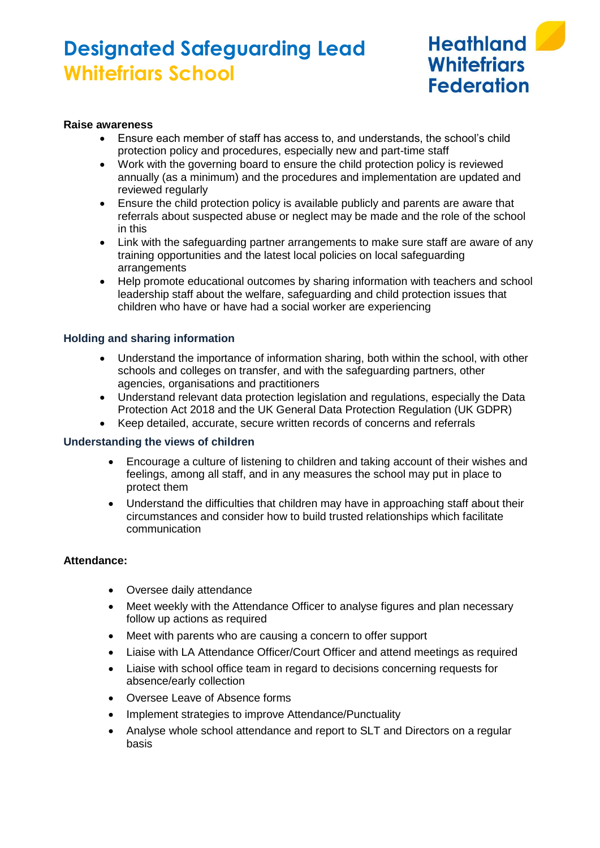

#### **Raise awareness**

- Ensure each member of staff has access to, and understands, the school's child protection policy and procedures, especially new and part-time staff
- Work with the governing board to ensure the child protection policy is reviewed annually (as a minimum) and the procedures and implementation are updated and reviewed regularly
- Ensure the child protection policy is available publicly and parents are aware that referrals about suspected abuse or neglect may be made and the role of the school in this
- Link with the safeguarding partner arrangements to make sure staff are aware of any training opportunities and the latest local policies on local safeguarding arrangements
- Help promote educational outcomes by sharing information with teachers and school leadership staff about the welfare, safeguarding and child protection issues that children who have or have had a social worker are experiencing

### **Holding and sharing information**

- Understand the importance of information sharing, both within the school, with other schools and colleges on transfer, and with the safeguarding partners, other agencies, organisations and practitioners
- Understand relevant data protection legislation and regulations, especially the Data Protection Act 2018 and the UK General Data Protection Regulation (UK GDPR)
- Keep detailed, accurate, secure written records of concerns and referrals

#### **Understanding the views of children**

- Encourage a culture of listening to children and taking account of their wishes and feelings, among all staff, and in any measures the school may put in place to protect them
- Understand the difficulties that children may have in approaching staff about their circumstances and consider how to build trusted relationships which facilitate communication

### **Attendance:**

- Oversee daily attendance
- Meet weekly with the Attendance Officer to analyse figures and plan necessary follow up actions as required
- Meet with parents who are causing a concern to offer support
- Liaise with LA Attendance Officer/Court Officer and attend meetings as required
- Liaise with school office team in regard to decisions concerning requests for absence/early collection
- Oversee Leave of Absence forms
- Implement strategies to improve Attendance/Punctuality
- Analyse whole school attendance and report to SLT and Directors on a regular basis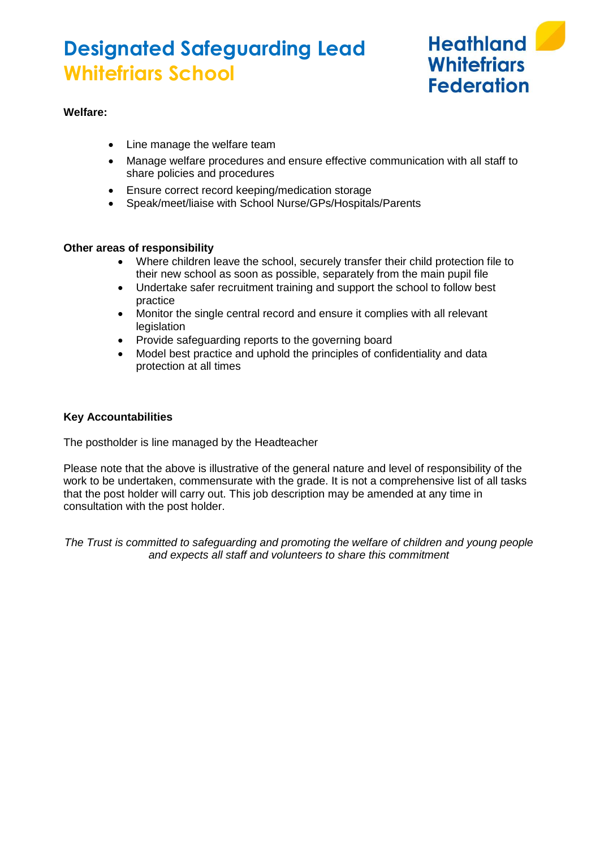

# **Welfare:**

- Line manage the welfare team
- Manage welfare procedures and ensure effective communication with all staff to share policies and procedures
- Ensure correct record keeping/medication storage
- Speak/meet/liaise with School Nurse/GPs/Hospitals/Parents

### **Other areas of responsibility**

- Where children leave the school, securely transfer their child protection file to their new school as soon as possible, separately from the main pupil file
- Undertake safer recruitment training and support the school to follow best practice
- Monitor the single central record and ensure it complies with all relevant legislation
- Provide safeguarding reports to the governing board
- Model best practice and uphold the principles of confidentiality and data protection at all times

### **Key Accountabilities**

The postholder is line managed by the Headteacher

Please note that the above is illustrative of the general nature and level of responsibility of the work to be undertaken, commensurate with the grade. It is not a comprehensive list of all tasks that the post holder will carry out. This job description may be amended at any time in consultation with the post holder.

*The Trust is committed to safeguarding and promoting the welfare of children and young people and expects all staff and volunteers to share this commitment*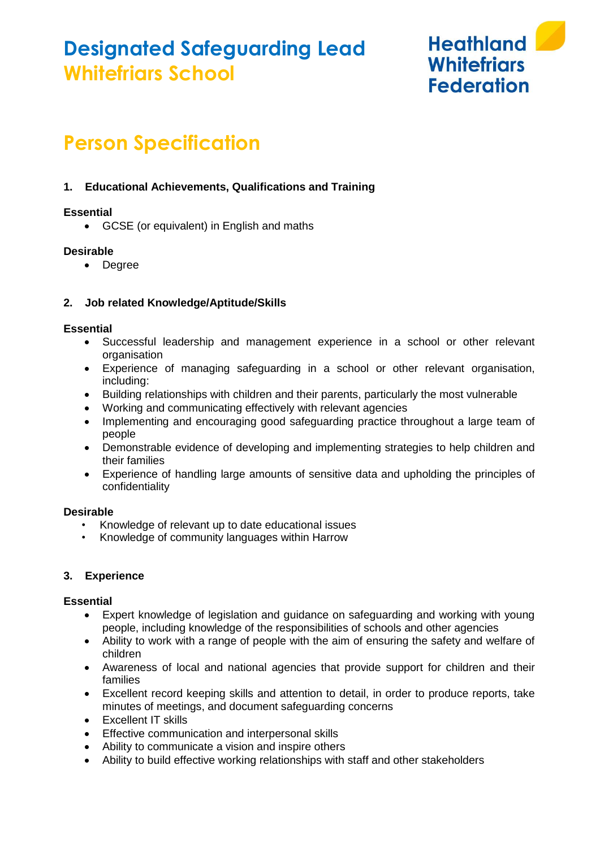

# **Person Specification**

# **1. Educational Achievements, Qualifications and Training**

## **Essential**

• GCSE (or equivalent) in English and maths

### **Desirable**

• Degree

# **2. Job related Knowledge/Aptitude/Skills**

### **Essential**

- Successful leadership and management experience in a school or other relevant organisation
- Experience of managing safeguarding in a school or other relevant organisation, including:
- Building relationships with children and their parents, particularly the most vulnerable
- Working and communicating effectively with relevant agencies
- Implementing and encouraging good safeguarding practice throughout a large team of people
- Demonstrable evidence of developing and implementing strategies to help children and their families
- Experience of handling large amounts of sensitive data and upholding the principles of confidentiality

### **Desirable**

- Knowledge of relevant up to date educational issues
- Knowledge of community languages within Harrow

### **3. Experience**

### **Essential**

- Expert knowledge of legislation and guidance on safeguarding and working with young people, including knowledge of the responsibilities of schools and other agencies
- Ability to work with a range of people with the aim of ensuring the safety and welfare of children
- Awareness of local and national agencies that provide support for children and their families
- Excellent record keeping skills and attention to detail, in order to produce reports, take minutes of meetings, and document safeguarding concerns
- Excellent IT skills
- Effective communication and interpersonal skills
- Ability to communicate a vision and inspire others
- Ability to build effective working relationships with staff and other stakeholders